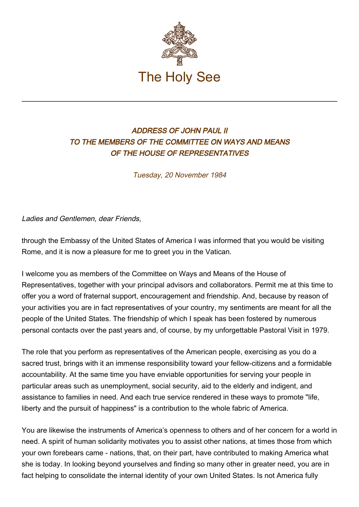

## ADDRESS OF JOHN PAUL II TO THE MEMBERS OF THE COMMITTEE ON WAYS AND MEANS OF THE HOUSE OF REPRESENTATIVES

Tuesday, 20 November 1984

Ladies and Gentlemen, dear Friends,

through the Embassy of the United States of America I was informed that you would be visiting Rome, and it is now a pleasure for me to greet you in the Vatican.

I welcome you as members of the Committee on Ways and Means of the House of Representatives, together with your principal advisors and collaborators. Permit me at this time to offer you a word of fraternal support, encouragement and friendship. And, because by reason of your activities you are in fact representatives of your country, my sentiments are meant for all the people of the United States. The friendship of which I speak has been fostered by numerous personal contacts over the past years and, of course, by my unforgettable Pastoral Visit in 1979.

The role that you perform as representatives of the American people, exercising as you do a sacred trust, brings with it an immense responsibility toward your fellow-citizens and a formidable accountability. At the same time you have enviable opportunities for serving your people in particular areas such as unemployment, social security, aid to the elderly and indigent, and assistance to families in need. And each true service rendered in these ways to promote "life, liberty and the pursuit of happiness" is a contribution to the whole fabric of America.

You are likewise the instruments of America's openness to others and of her concern for a world in need. A spirit of human solidarity motivates you to assist other nations, at times those from which your own forebears came - nations, that, on their part, have contributed to making America what she is today. In looking beyond yourselves and finding so many other in greater need, you are in fact helping to consolidate the internal identity of your own United States. Is not America fully